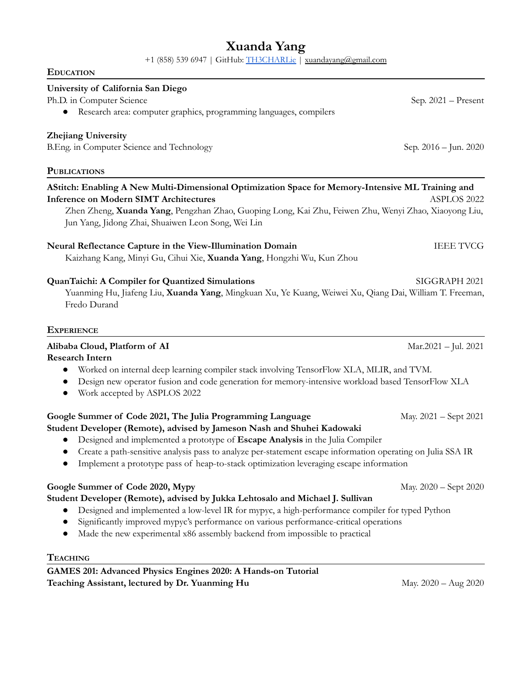# **Xuanda Yang**

+1 (858) 539 6947 | GitHub: [TH3CHARLie](https://github.com/TH3CHARLie) | [xuandayang@gmail.com](mailto:xuandayang@gmail.com)

# **EDUCATION**

#### **University of California San Diego**

Ph.D. in Computer Science Sep. 2021 – Present

● Research area: computer graphics, programming languages, compilers

# **Zhejiang University**

B.Eng. in Computer Science and Technology Sep. 2016 – Jun. 2020

#### **PUBLICATIONS**

# **AStitch: Enabling A New Multi-Dimensional Optimization Space for Memory-Intensive ML Training and Inference on Modern SIMT Architectures** ASPLOS 2022 Zhen Zheng, **Xuanda Yang**, Pengzhan Zhao, Guoping Long, Kai Zhu, Feiwen Zhu, Wenyi Zhao, Xiaoyong Liu,

Jun Yang, Jidong Zhai, Shuaiwen Leon Song, Wei Lin

# **Neural Reflectance Capture in the View-Illumination Domain** IEEE TVCG

Kaizhang Kang, Minyi Gu, Cihui Xie, **Xuanda Yang**, Hongzhi Wu, Kun Zhou

# **QuanTaichi: A Compiler for Quantized Simulations** SIGGRAPH 2021

Yuanming Hu, Jiafeng Liu, **Xuanda Yang**, Mingkuan Xu, Ye Kuang, Weiwei Xu, Qiang Dai, William T. Freeman, Fredo Durand

#### **EXPERIENCE**

# **Alibaba Cloud, Platform of AI** Mar.2021 – Jul. 2021

**Research Intern**

- Worked on internal deep learning compiler stack involving TensorFlow XLA, MLIR, and TVM.
- Design new operator fusion and code generation for memory-intensive workload based TensorFlow XLA
- Work accepted by ASPLOS 2022

# **Google Summer of Code 2021, The Julia Programming Language** May. 2021 – Sept 2021

# **Student Developer (Remote), advised by Jameson Nash and Shuhei Kadowaki**

- Designed and implemented a prototype of **Escape Analysis** in the Julia Compiler
- Create a path-sensitive analysis pass to analyze per-statement escape information operating on Julia SSA IR
- Implement a prototype pass of heap-to-stack optimization leveraging escape information

# **Google Summer of Code 2020, Mypy** May. 2020 – Sept 2020

# **Student Developer (Remote), advised by Jukka Lehtosalo and Michael J. Sullivan**

- Designed and implemented a low-level IR for mypyc, a high-performance compiler for typed Python
- Significantly improved mypyc's performance on various performance-critical operations
- Made the new experimental x86 assembly backend from impossible to practical

# **TEACHING**

**GAMES 201: Advanced Physics Engines 2020: A Hands-on Tutorial Teaching Assistant, lectured by Dr. Yuanming Hu** May. 2020 – Aug 2020